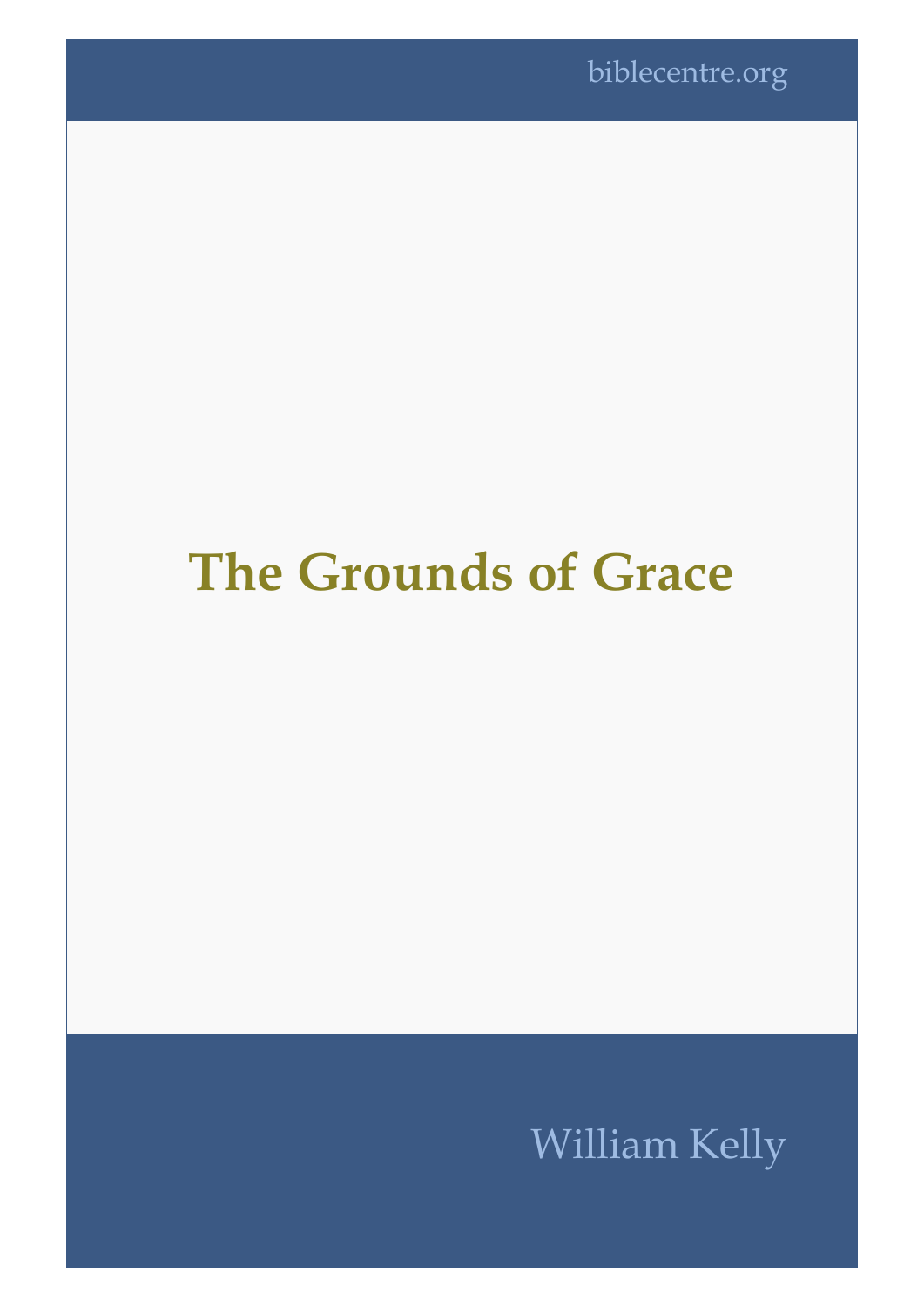## **The Grounds of Grace**

## William Kelly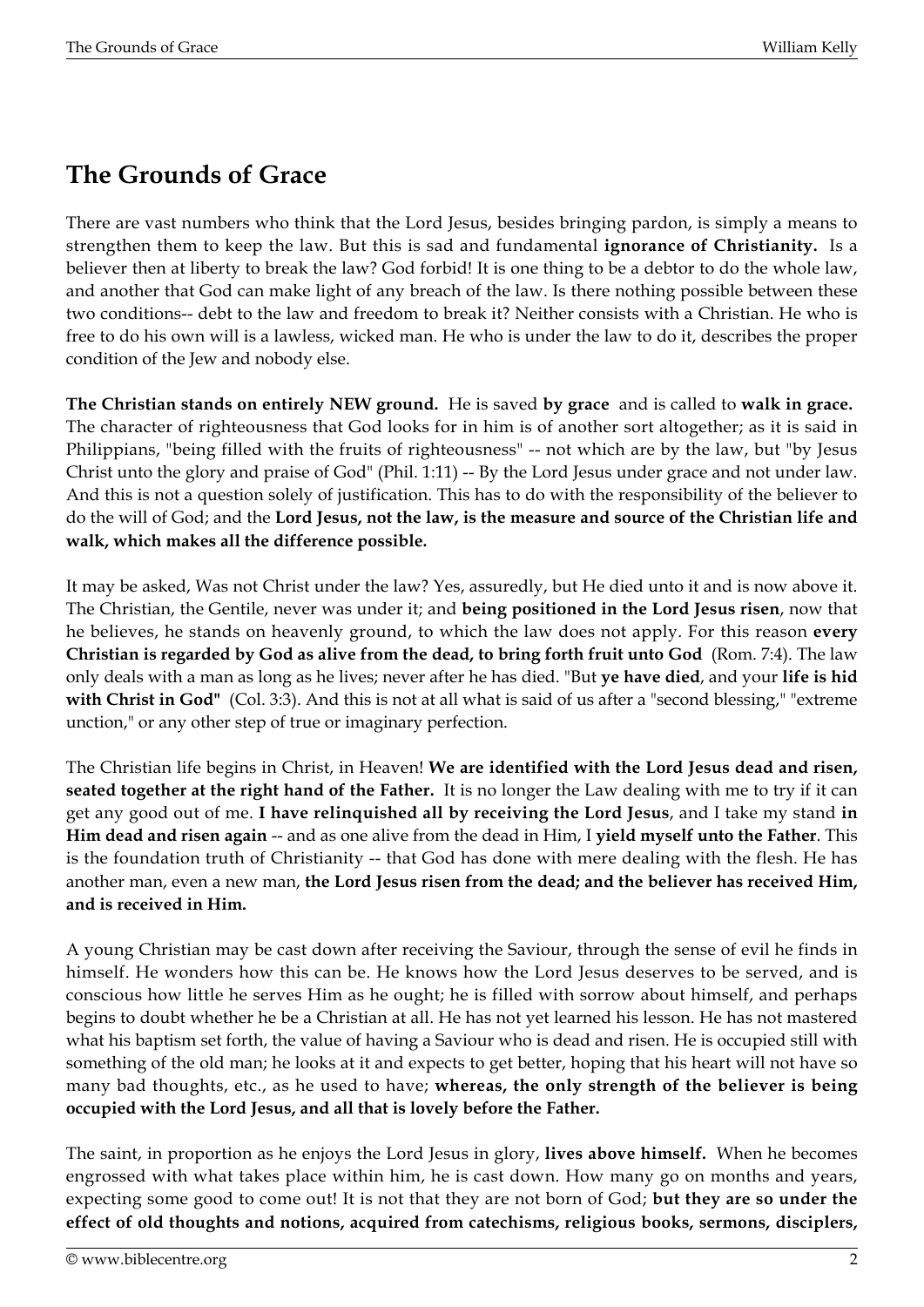## **The Grounds of Grace**

There are vast numbers who think that the Lord Jesus, besides bringing pardon, is simply a means to strengthen them to keep the law. But this is sad and fundamental **ignorance of Christianity.** Is a believer then at liberty to break the law? God forbid! It is one thing to be a debtor to do the whole law, and another that God can make light of any breach of the law. Is there nothing possible between these two conditions-- debt to the law and freedom to break it? Neither consists with a Christian. He who is free to do his own will is a lawless, wicked man. He who is under the law to do it, describes the proper condition of the Jew and nobody else.

**The Christian stands on entirely NEW ground.** He is saved **by grace** and is called to **walk in grace.**  The character of righteousness that God looks for in him is of another sort altogether; as it is said in Philippians, "being filled with the fruits of righteousness" -- not which are by the law, but "by Jesus Christ unto the glory and praise of God" (Phil. 1:11) -- By the Lord Jesus under grace and not under law. And this is not a question solely of justification. This has to do with the responsibility of the believer to do the will of God; and the **Lord Jesus, not the law, is the measure and source of the Christian life and walk, which makes all the difference possible.**

It may be asked, Was not Christ under the law? Yes, assuredly, but He died unto it and is now above it. The Christian, the Gentile, never was under it; and **being positioned in the Lord Jesus risen**, now that he believes, he stands on heavenly ground, to which the law does not apply. For this reason **every Christian is regarded by God as alive from the dead, to bring forth fruit unto God** (Rom. 7:4). The law only deals with a man as long as he lives; never after he has died. "But **ye have died**, and your **life is hid with Christ in God"** (Col. 3:3). And this is not at all what is said of us after a "second blessing," "extreme unction," or any other step of true or imaginary perfection.

The Christian life begins in Christ, in Heaven! **We are identified with the Lord Jesus dead and risen, seated together at the right hand of the Father.** It is no longer the Law dealing with me to try if it can get any good out of me. **I have relinquished all by receiving the Lord Jesus**, and I take my stand **in Him dead and risen again** -- and as one alive from the dead in Him, I **yield myself unto the Father**. This is the foundation truth of Christianity -- that God has done with mere dealing with the flesh. He has another man, even a new man, **the Lord Jesus risen from the dead; and the believer has received Him, and is received in Him.**

A young Christian may be cast down after receiving the Saviour, through the sense of evil he finds in himself. He wonders how this can be. He knows how the Lord Jesus deserves to be served, and is conscious how little he serves Him as he ought; he is filled with sorrow about himself, and perhaps begins to doubt whether he be a Christian at all. He has not yet learned his lesson. He has not mastered what his baptism set forth, the value of having a Saviour who is dead and risen. He is occupied still with something of the old man; he looks at it and expects to get better, hoping that his heart will not have so many bad thoughts, etc., as he used to have; **whereas, the only strength of the believer is being occupied with the Lord Jesus, and all that is lovely before the Father.**

The saint, in proportion as he enjoys the Lord Jesus in glory, **lives above himself.** When he becomes engrossed with what takes place within him, he is cast down. How many go on months and years, expecting some good to come out! It is not that they are not born of God; **but they are so under the effect of old thoughts and notions, acquired from catechisms, religious books, sermons, disciplers,**